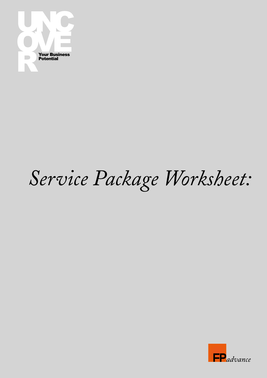

## Service Package Worksheet:

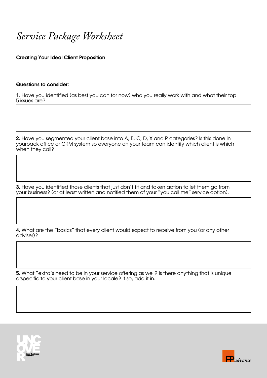*Service Package Worksheet*

Creating Your Ideal Client Proposition

## Questions to consider:

1. Have you identified (as best you can for now) who you really work with and what their top 5 issues are?

2. Have you segmented your client base into A, B, C, D, X and P categories? Is this done in yourback office or CRM system so everyone on your team can identify which client is which when they call?

3. Have you identified those clients that just don't fit and taken action to let them go from your business? (or at least written and notified them of your "you call me" service option).

4. What are the "basics" that every client would expect to receive from you (or any other adviser)?

5. What "extra's need to be in your service offering as well? Is there anything that is unique orspecific to your client base in your locale? If so, add it in.